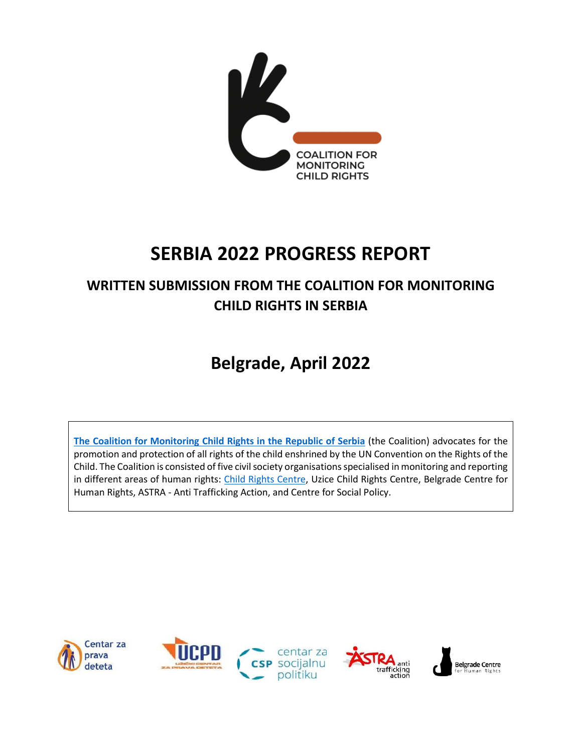

# **SERBIA 2022 PROGRESS REPORT**

## **WRITTEN SUBMISSION FROM THE COALITION FOR MONITORING CHILD RIGHTS IN SERBIA**

# **Belgrade, April 2022**

**[The Coalition for Monitoring Child Rights in the Republic of Serbia](https://cpd.org.rs/projects/coalition-for-monitoring-child-rights-in-serbia/?lang=en)** (the Coalition) advocates for the promotion and protection of all rights of the child enshrined by the UN Convention on the Rights of the Child. The Coalition is consisted of five civil society organisations specialised in monitoring and reporting in different areas of human rights: [Child Rights Centre,](https://cpd.org.rs/?lang=en) Uzice Child Rights Centre, Belgrade Centre for Human Rights, ASTRA - Anti Trafficking Action, and Centre for Social Policy.

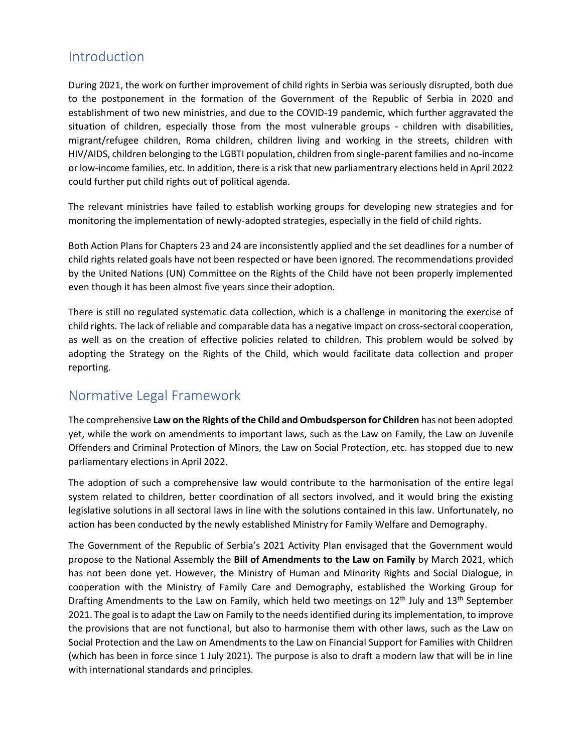### Introduction

During 2021, the work on further improvement of child rights in Serbia was seriously disrupted, both due to the postponement in the formation of the Government of the Republic of Serbia in 2020 and establishment of two new ministries, and due to the COVID-19 pandemic, which further aggravated the situation of children, especially those from the most vulnerable groups - children with disabilities, migrant/refugee children, Roma children, children living and working in the streets, children with HIV/AIDS, children belonging to the LGBTI population, children from single-parent families and no-income or low-income families, etc. In addition, there is a risk that new parliamentrary elections held in April 2022 could further put child rights out of political agenda.

The relevant ministries have failed to establish working groups for developing new strategies and for monitoring the implementation of newly-adopted strategies, especially in the field of child rights.

Both Action Plans for Chapters 23 and 24 are inconsistently applied and the set deadlines for a number of child rights related goals have not been respected or have been ignored. The recommendations provided by the United Nations (UN) Committee on the Rights of the Child have not been properly implemented even though it has been almost five years since their adoption.

There is still no regulated systematic data collection, which is a challenge in monitoring the exercise of child rights. The lack of reliable and comparable data has a negative impact on cross-sectoral cooperation, as well as on the creation of effective policies related to children. This problem would be solved by adopting the Strategy on the Rights of the Child, which would facilitate data collection and proper reporting.

### Normative Legal Framework

The comprehensive **Law on the Rights of the Child and Ombudsperson for Children** has not been adopted yet, while the work on amendments to important laws, such as the Law on Family, the Law on Juvenile Offenders and Criminal Protection of Minors, the Law on Social Protection, etc. has stopped due to new parliamentary elections in April 2022.

The adoption of such a comprehensive law would contribute to the harmonisation of the entire legal system related to children, better coordination of all sectors involved, and it would bring the existing legislative solutions in all sectoral laws in line with the solutions contained in this law. Unfortunately, no action has been conducted by the newly established Ministry for Family Welfare and Demography.

The Government of the Republic of Serbia's 2021 Activity Plan envisaged that the Government would propose to the National Assembly the **Bill of Amendments to the Law on Family** by March 2021, which has not been done yet. However, the Ministry of Human and Minority Rights and Social Dialogue, in cooperation with the Ministry of Family Care and Demography, established the Working Group for Drafting Amendments to the Law on Family, which held two meetings on 12<sup>th</sup> July and 13<sup>th</sup> September 2021. The goal is to adapt the Law on Family to the needs identified during its implementation, to improve the provisions that are not functional, but also to harmonise them with other laws, such as the Law on Social Protection and the Law on Amendments to the Law on Financial Support for Families with Children (which has been in force since 1 July 2021). The purpose is also to draft a modern law that will be in line with international standards and principles.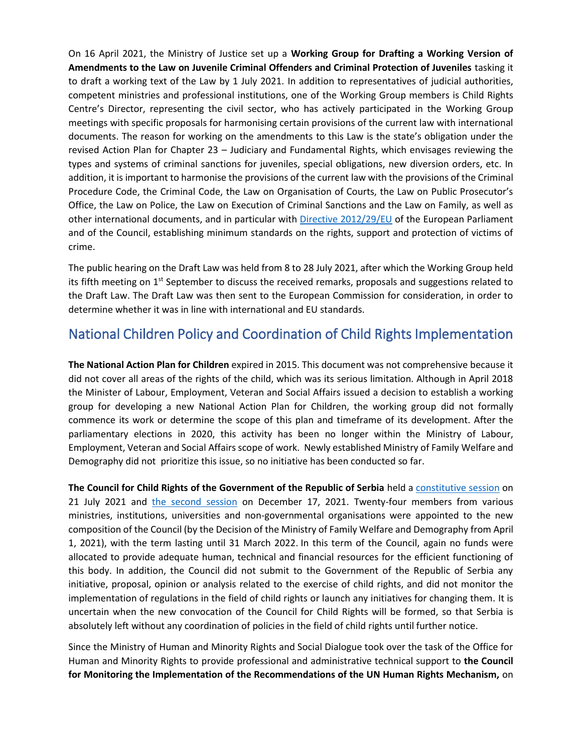On 16 April 2021, the Ministry of Justice set up a **Working Group for Drafting a Working Version of Amendments to the Law on Juvenile Criminal Offenders and Criminal Protection of Juveniles** tasking it to draft a working text of the Law by 1 July 2021. In addition to representatives of judicial authorities, competent ministries and professional institutions, one of the Working Group members is Child Rights Centre's Director, representing the civil sector, who has actively participated in the Working Group meetings with specific proposals for harmonising certain provisions of the current law with international documents. The reason for working on the amendments to this Law is the state's obligation under the revised Action Plan for Chapter 23 – Judiciary and Fundamental Rights, which envisages reviewing the types and systems of criminal sanctions for juveniles, special obligations, new diversion orders, etc. In addition, it is important to harmonise the provisions of the current law with the provisions of the Criminal Procedure Code, the Criminal Code, the Law on Organisation of Courts, the Law on Public Prosecutor's Office, the Law on Police, the Law on Execution of Criminal Sanctions and the Law on Family, as well as other international documents, and in particular with [Directive 2012/29/EU](https://www.podrskazrtvama.rs/media/medjunarodni/DIREKTIVA-2012-29-EU.pdf) of the European Parliament and of the Council, establishing minimum standards on the rights, support and protection of victims of crime.

The public hearing on the Draft Law was held from 8 to 28 July 2021, after which the Working Group held its fifth meeting on 1<sup>st</sup> September to discuss the received remarks, proposals and suggestions related to the Draft Law. The Draft Law was then sent to the European Commission for consideration, in order to determine whether it was in line with international and EU standards.

### National Children Policy and Coordination of Child Rights Implementation

**The National Action Plan for Children** expired in 2015. This document was not comprehensive because it did not cover all areas of the rights of the child, which was its serious limitation. Although in April 2018 the Minister of Labour, Employment, Veteran and Social Affairs issued a decision to establish a working group for developing a new National Action Plan for Children, the working group did not formally commence its work or determine the scope of this plan and timeframe of its development. After the parliamentary elections in 2020, this activity has been no longer within the Ministry of Labour, Employment, Veteran and Social Affairs scope of work. Newly established Ministry of Family Welfare and Demography did not prioritize this issue, so no initiative has been conducted so far.

**The Council for Child Rights of the Government of the Republic of Serbia** held [a constitutive session](https://cpd.org.rs/crc-at-the-constitutive-session-of-the-council-for-child-rights-of-the-government-of-the-republic-of-serbia/?lang=en) on 21 July 2021 and the [second session](https://cpd.org.rs/cpd-na-drugoj-sednici-saveta-za-prava-deteta-vlade-rs-u-2021/) on December 17, 2021. Twenty-four members from various ministries, institutions, universities and non-governmental organisations were appointed to the new composition of the Council (by the Decision of the Ministry of Family Welfare and Demography from April 1, 2021), with the term lasting until 31 March 2022. In this term of the Council, again no funds were allocated to provide adequate human, technical and financial resources for the efficient functioning of this body. In addition, the Council did not submit to the Government of the Republic of Serbia any initiative, proposal, opinion or analysis related to the exercise of child rights, and did not monitor the implementation of regulations in the field of child rights or launch any initiatives for changing them. It is uncertain when the new convocation of the Council for Child Rights will be formed, so that Serbia is absolutely left without any coordination of policies in the field of child rights until further notice.

Since the Ministry of Human and Minority Rights and Social Dialogue took over the task of the Office for Human and Minority Rights to provide professional and administrative technical support to **the Council for Monitoring the Implementation of the Recommendations of the UN Human Rights Mechanism,** on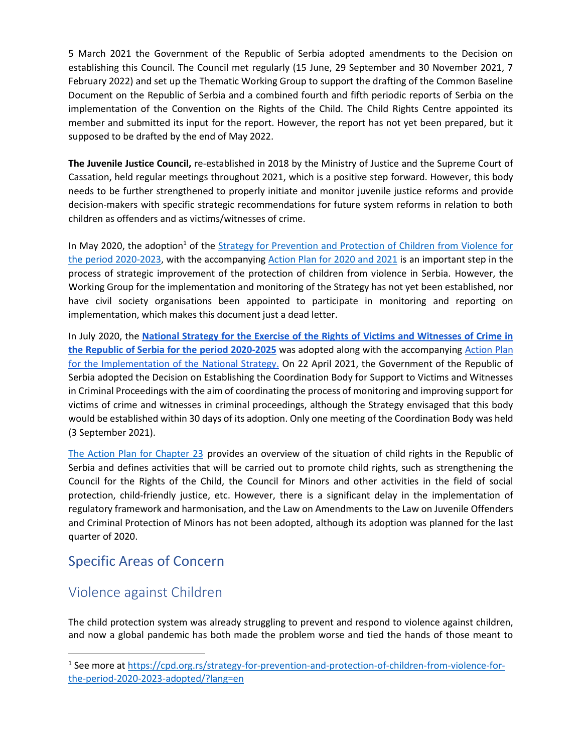5 March 2021 the Government of the Republic of Serbia adopted amendments to the Decision on establishing this Council. The Council met regularly (15 June, 29 September and 30 November 2021, 7 February 2022) and set up the Thematic Working Group to support the drafting of the Common Baseline Document on the Republic of Serbia and a combined fourth and fifth periodic reports of Serbia on the implementation of the Convention on the Rights of the Child. The Child Rights Centre appointed its member and submitted its input for the report. However, the report has not yet been prepared, but it supposed to be drafted by the end of May 2022.

**The Juvenile Justice Council,** re-established in 2018 by the Ministry of Justice and the Supreme Court of Cassation, held regular meetings throughout 2021, which is a positive step forward. However, this body needs to be further strengthened to properly initiate and monitor juvenile justice reforms and provide decision-makers with specific strategic recommendations for future system reforms in relation to both children as offenders and as victims/witnesses of crime.

In May 2020, the adoption<sup>1</sup> of the **Strategy for Prevention and Protection of Children from Violence for** [the period 2020-2023,](http://zadecu.org/wp-content/uploads/2020/06/Strategija-za-sprecavanje_nasilja_nad-decom.pdf) with the accompanying [Action Plan for 2020 and 2021](http://zadecu.org/wp-content/uploads/2020/06/AP-uz-Strategiju_sprecavanja_nasilja-nad-decom.pdf) is an important step in the process of strategic improvement of the protection of children from violence in Serbia. However, the Working Group for the implementation and monitoring of the Strategy has not yet been established, nor have civil society organisations been appointed to participate in monitoring and reporting on implementation, which makes this document just a dead letter.

In July 2020, th[e](https://www.mpravde.gov.rs/sr/tekst/30567/nacionalna-strategija-za-ostvarivanje-prava-zrtava-i-svedoka-krivicnih-dela-u-republici-srbiji-za-period-2020-2025-godine-19082020.php) **[National Strategy for the Exercise of the Rights of Victims and Witnesses of Crime in](https://www.mpravde.gov.rs/sr/tekst/30567/nacionalna-strategija-za-ostvarivanje-prava-zrtava-i-svedoka-krivicnih-dela-u-republici-srbiji-za-period-2020-2025-godine-19082020.php)  [the Republic of Serbia for the period](https://www.mpravde.gov.rs/sr/tekst/30567/nacionalna-strategija-za-ostvarivanje-prava-zrtava-i-svedoka-krivicnih-dela-u-republici-srbiji-za-period-2020-2025-godine-19082020.php) 2020-2025** was adopted along with the accompanyin[g](https://www.mpravde.gov.rs/sr/tekst/30567/nacionalna-strategija-za-ostvarivanje-prava-zrtava-i-svedoka-krivicnih-dela-u-republici-srbiji-za-period-2020-2025-godine-19082020.php) [Action Plan](https://www.mpravde.gov.rs/sr/tekst/30567/nacionalna-strategija-za-ostvarivanje-prava-zrtava-i-svedoka-krivicnih-dela-u-republici-srbiji-za-period-2020-2025-godine-19082020.php)  [for the Implementation of the National Strategy.](https://www.mpravde.gov.rs/sr/tekst/30567/nacionalna-strategija-za-ostvarivanje-prava-zrtava-i-svedoka-krivicnih-dela-u-republici-srbiji-za-period-2020-2025-godine-19082020.php) On 22 April 2021, the Government of the Republic of Serbia adopted the Decision on Establishing the Coordination Body for Support to Victims and Witnesses in Criminal Proceedings with the aim of coordinating the process of monitoring and improving support for victims of crime and witnesses in criminal proceedings, although the Strategy envisaged that this body would be established within 30 days of its adoption. Only one meeting of the Coordination Body was held (3 September 2021).

[The Action Plan for Chapter](https://www.mpravde.gov.rs/files/Revidirani%20AP23%202207.pdf) 23 provides an overview of the situation of child rights in the Republic of Serbia and defines activities that will be carried out to promote child rights, such as strengthening the Council for the Rights of the Child, the Council for Minors and other activities in the field of social protection, child-friendly justice, etc. However, there is a significant delay in the implementation of regulatory framework and harmonisation, and the Law on Amendments to the Law on Juvenile Offenders and Criminal Protection of Minors has not been adopted, although its adoption was planned for the last quarter of 2020.

### Specific Areas of Concern

### Violence against Children

The child protection system was already struggling to prevent and respond to violence against children, and now a global pandemic has both made the problem worse and tied the hands of those meant to

<sup>&</sup>lt;sup>1</sup> See more at [https://cpd.org.rs/strategy-for-prevention-and-protection-of-children-from-violence-for](https://cpd.org.rs/strategy-for-prevention-and-protection-of-children-from-violence-for-the-period-2020-2023-adopted/?lang=en)[the-period-2020-2023-adopted/?lang=en](https://cpd.org.rs/strategy-for-prevention-and-protection-of-children-from-violence-for-the-period-2020-2023-adopted/?lang=en)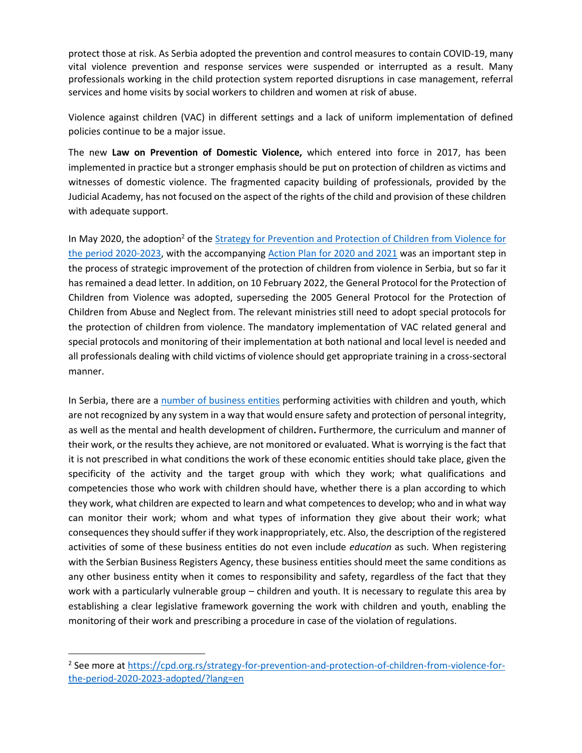protect those at risk. As Serbia adopted the prevention and control measures to contain COVID-19, many vital violence prevention and response services were suspended or interrupted as a result. Many professionals working in the child protection system reported disruptions in case management, referral services and home visits by social workers to children and women at risk of abuse.

Violence against children (VAC) in different settings and a lack of uniform implementation of defined policies continue to be a major issue.

The new **Law on Prevention of Domestic Violence,** which entered into force in 2017, has been implemented in practice but a stronger emphasis should be put on protection of children as victims and witnesses of domestic violence. The fragmented capacity building of professionals, provided by the Judicial Academy, has not focused on the aspect of the rights of the child and provision of these children with adequate support.

In May 2020, the adoption<sup>2</sup> of the **Strategy for Prevention and Protection of Children from Violence for** [the period 2020-2023,](http://zadecu.org/wp-content/uploads/2020/06/Strategija-za-sprecavanje_nasilja_nad-decom.pdf) with the accompanying [Action Plan for 2020 and 2021](http://zadecu.org/wp-content/uploads/2020/06/AP-uz-Strategiju_sprecavanja_nasilja-nad-decom.pdf) was an important step in the process of strategic improvement of the protection of children from violence in Serbia, but so far it has remained a dead letter. In addition, on 10 February 2022, the General Protocol for the Protection of Children from Violence was adopted, superseding the 2005 General Protocol for the Protection of Children from Abuse and Neglect from. The relevant ministries still need to adopt special protocols for the protection of children from violence. The mandatory implementation of VAC related general and special protocols and monitoring of their implementation at both national and local level is needed and all professionals dealing with child victims of violence should get appropriate training in a cross-sectoral manner.

In Serbia, there are a [number of business entities](https://cpd.org.rs/it-is-necessary-to-regulate-the-protection-of-children-in-informal-education/?lang=en) performing activities with children and youth, which are not recognized by any system in a way that would ensure safety and protection of personal integrity, as well as the mental and health development of children**.** Furthermore, the curriculum and manner of their work, or the results they achieve, are not monitored or evaluated. What is worrying is the fact that it is not prescribed in what conditions the work of these economic entities should take place, given the specificity of the activity and the target group with which they work; what qualifications and competencies those who work with children should have, whether there is a plan according to which they work, what children are expected to learn and what competences to develop; who and in what way can monitor their work; whom and what types of information they give about their work; what consequences they should suffer if they work inappropriately, etc. Also, the description of the registered activities of some of these business entities do not even include *education* as such. When registering with the Serbian Business Registers Agency, these business entities should meet the same conditions as any other business entity when it comes to responsibility and safety, regardless of the fact that they work with a particularly vulnerable group – children and youth. It is necessary to regulate this area by establishing a clear legislative framework governing the work with children and youth, enabling the monitoring of their work and prescribing a procedure in case of the violation of regulations.

<sup>&</sup>lt;sup>2</sup> See more at [https://cpd.org.rs/strategy-for-prevention-and-protection-of-children-from-violence-for](https://cpd.org.rs/strategy-for-prevention-and-protection-of-children-from-violence-for-the-period-2020-2023-adopted/?lang=en)[the-period-2020-2023-adopted/?lang=en](https://cpd.org.rs/strategy-for-prevention-and-protection-of-children-from-violence-for-the-period-2020-2023-adopted/?lang=en)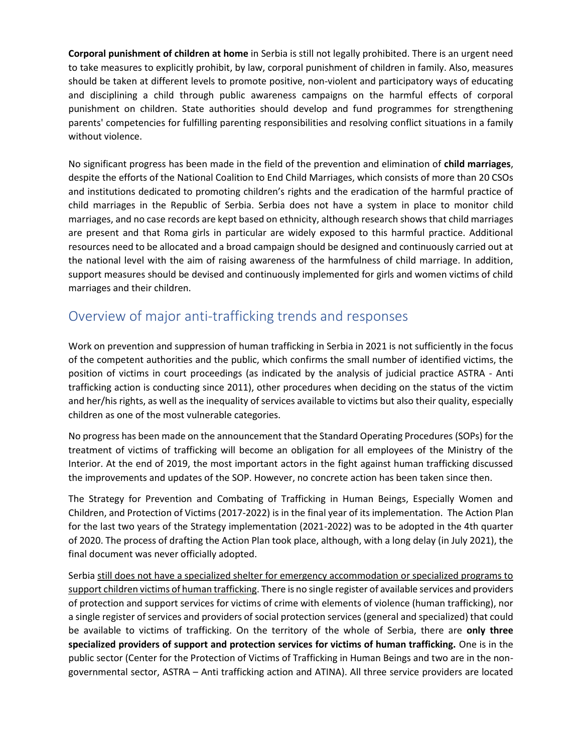**Corporal punishment of children at home** in Serbia is still not legally prohibited. There is an urgent need to take measures to explicitly prohibit, by law, corporal punishment of children in family. Also, measures should be taken at different levels to promote positive, non-violent and participatory ways of educating and disciplining a child through public awareness campaigns on the harmful effects of corporal punishment on children. State authorities should develop and fund programmes for strengthening parents' competencies for fulfilling parenting responsibilities and resolving conflict situations in a family without violence.

No significant progress has been made in the field of the prevention and elimination of **child marriages**, despite the efforts of the National Coalition to End Child Marriages, which consists of more than 20 CSOs and institutions dedicated to promoting children's rights and the eradication of the harmful practice of child marriages in the Republic of Serbia. Serbia does not have a system in place to monitor child marriages, and no case records are kept based on ethnicity, although research shows that child marriages are present and that Roma girls in particular are widely exposed to this harmful practice. Additional resources need to be allocated and a broad campaign should be designed and continuously carried out at the national level with the aim of raising awareness of the harmfulness of child marriage. In addition, support measures should be devised and continuously implemented for girls and women victims of child marriages and their children.

### Overview of major anti-trafficking trends and responses

Work on prevention and suppression of human trafficking in Serbia in 2021 is not sufficiently in the focus of the competent authorities and the public, which confirms the small number of identified victims, the position of victims in court proceedings (as indicated by the analysis of judicial practice ASTRA - Anti trafficking action is conducting since 2011), other procedures when deciding on the status of the victim and her/his rights, as well as the inequality of services available to victims but also their quality, especially children as one of the most vulnerable categories.

No progress has been made on the announcement that the Standard Operating Procedures (SOPs) for the treatment of victims of trafficking will become an obligation for all employees of the Ministry of the Interior. At the end of 2019, the most important actors in the fight against human trafficking discussed the improvements and updates of the SOP. However, no concrete action has been taken since then.

The Strategy for Prevention and Combating of Trafficking in Human Beings, Especially Women and Children, and Protection of Victims (2017-2022) is in the final year of its implementation. The Action Plan for the last two years of the Strategy implementation (2021-2022) was to be adopted in the 4th quarter of 2020. The process of drafting the Action Plan took place, although, with a long delay (in July 2021), the final document was never officially adopted.

Serbia still does not have a specialized shelter for emergency accommodation or specialized programs to support children victims of human trafficking. There is no single register of available services and providers of protection and support services for victims of crime with elements of violence (human trafficking), nor a single register of services and providers of social protection services (general and specialized) that could be available to victims of trafficking. On the territory of the whole of Serbia, there are **only three specialized providers of support and protection services for victims of human trafficking.** One is in the public sector (Center for the Protection of Victims of Trafficking in Human Beings and two are in the nongovernmental sector, ASTRA – Anti trafficking action and ATINA). All three service providers are located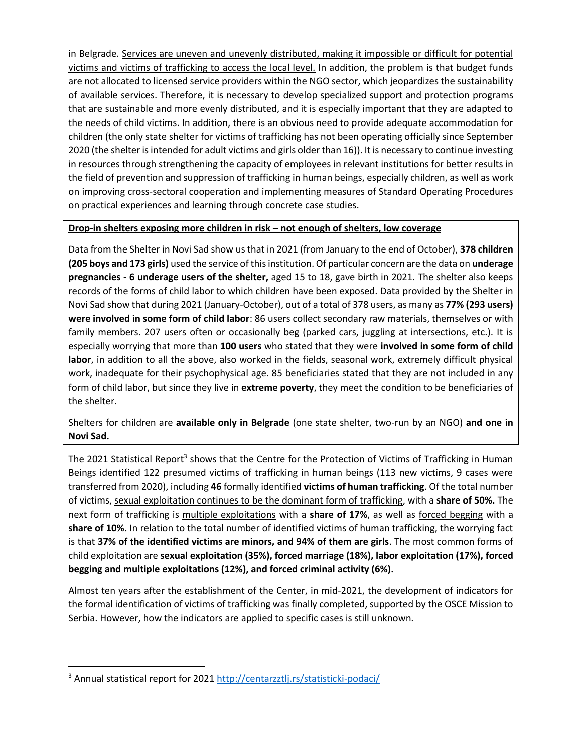in Belgrade. Services are uneven and unevenly distributed, making it impossible or difficult for potential victims and victims of trafficking to access the local level. In addition, the problem is that budget funds are not allocated to licensed service providers within the NGO sector, which jeopardizes the sustainability of available services. Therefore, it is necessary to develop specialized support and protection programs that are sustainable and more evenly distributed, and it is especially important that they are adapted to the needs of child victims. In addition, there is an obvious need to provide adequate accommodation for children (the only state shelter for victims of trafficking has not been operating officially since September 2020 (the shelter is intended for adult victims and girls older than 16)). It is necessary to continue investing in resources through strengthening the capacity of employees in relevant institutions for better results in the field of prevention and suppression of trafficking in human beings, especially children, as well as work on improving cross-sectoral cooperation and implementing measures of Standard Operating Procedures on practical experiences and learning through concrete case studies.

#### **Drop-in shelters exposing more children in risk – not enough of shelters, low coverage**

Data from the Shelter in Novi Sad show us that in 2021 (from January to the end of October), **378 children (205 boys and 173 girls)** used the service of this institution. Of particular concern are the data on **underage pregnancies - 6 underage users of the shelter,** aged 15 to 18, gave birth in 2021. The shelter also keeps records of the forms of child labor to which children have been exposed. Data provided by the Shelter in Novi Sad show that during 2021 (January-October), out of a total of 378 users, as many as **77% (293 users) were involved in some form of child labor**: 86 users collect secondary raw materials, themselves or with family members. 207 users often or occasionally beg (parked cars, juggling at intersections, etc.). It is especially worrying that more than **100 users** who stated that they were **involved in some form of child labor**, in addition to all the above, also worked in the fields, seasonal work, extremely difficult physical work, inadequate for their psychophysical age. 85 beneficiaries stated that they are not included in any form of child labor, but since they live in **extreme poverty**, they meet the condition to be beneficiaries of the shelter.

Shelters for children are **available only in Belgrade** (one state shelter, two-run by an NGO) **and one in Novi Sad.**

The 2021 Statistical Report<sup>3</sup> shows that the Centre for the Protection of Victims of Trafficking in Human Beings identified 122 presumed victims of trafficking in human beings (113 new victims, 9 cases were transferred from 2020), including **46** formally identified **victims of human trafficking**. Of the total number of victims, sexual exploitation continues to be the dominant form of trafficking, with a **share of 50%.** The next form of trafficking is multiple exploitations with a **share of 17%**, as well as forced begging with a **share of 10%.** In relation to the total number of identified victims of human trafficking, the worrying fact is that **37% of the identified victims are minors, and 94% of them are girls**. The most common forms of child exploitation are **sexual exploitation (35%), forced marriage (18%), labor exploitation (17%), forced begging and multiple exploitations (12%), and forced criminal activity (6%).**

Almost ten years after the establishment of the Center, in mid-2021, the development of indicators for the formal identification of victims of trafficking was finally completed, supported by the OSCE Mission to Serbia. However, how the indicators are applied to specific cases is still unknown.

<sup>&</sup>lt;sup>3</sup> Annual statistical report for 2021<http://centarzztlj.rs/statisticki-podaci/>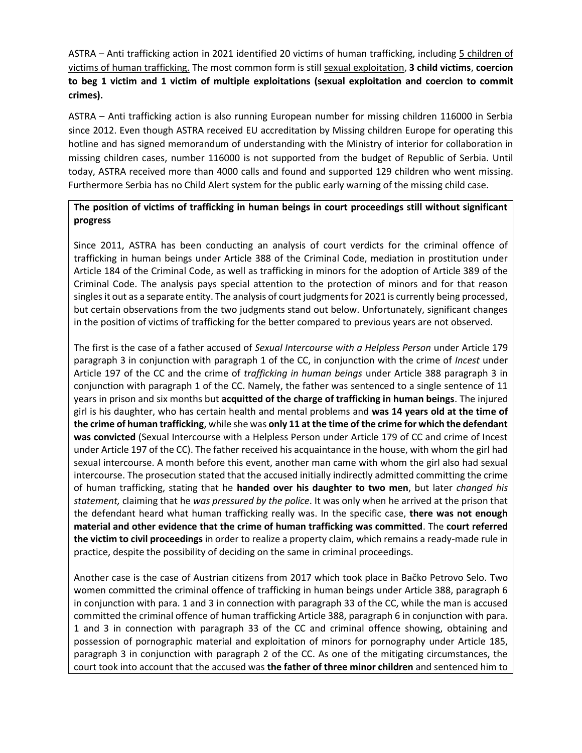ASTRA – Anti trafficking action in 2021 identified 20 victims of human trafficking, including 5 children of victims of human trafficking. The most common form is still sexual exploitation, **3 child victims**, **coercion to beg 1 victim and 1 victim of multiple exploitations (sexual exploitation and coercion to commit crimes).**

ASTRA – Anti trafficking action is also running European number for missing children 116000 in Serbia since 2012. Even though ASTRA received EU accreditation by Missing children Europe for operating this hotline and has signed memorandum of understanding with the Ministry of interior for collaboration in missing children cases, number 116000 is not supported from the budget of Republic of Serbia. Until today, ASTRA received more than 4000 calls and found and supported 129 children who went missing. Furthermore Serbia has no Child Alert system for the public early warning of the missing child case.

#### **The position of victims of trafficking in human beings in court proceedings still without significant progress**

Since 2011, ASTRA has been conducting an analysis of court verdicts for the criminal offence of trafficking in human beings under Article 388 of the Criminal Code, mediation in prostitution under Article 184 of the Criminal Code, as well as trafficking in minors for the adoption of Article 389 of the Criminal Code. The analysis pays special attention to the protection of minors and for that reason singles it out as a separate entity. The analysis of court judgments for 2021 is currently being processed, but certain observations from the two judgments stand out below. Unfortunately, significant changes in the position of victims of trafficking for the better compared to previous years are not observed.

The first is the case of a father accused of *Sexual Intercourse with a Helpless Person* under Article 179 paragraph 3 in conjunction with paragraph 1 of the CC, in conjunction with the crime of *Incest* under Article 197 of the CC and the crime of *trafficking in human beings* under Article 388 paragraph 3 in conjunction with paragraph 1 of the CC. Namely, the father was sentenced to a single sentence of 11 years in prison and six months but **acquitted of the charge of trafficking in human beings**. The injured girl is his daughter, who has certain health and mental problems and **was 14 years old at the time of the crime of human trafficking**, while she was **only 11 at the time of the crime for which the defendant was convicted** (Sexual Intercourse with a Helpless Person under Article 179 of CC and crime of Incest under Article 197 of the CC). The father received his acquaintance in the house, with whom the girl had sexual intercourse. A month before this event, another man came with whom the girl also had sexual intercourse. The prosecution stated that the accused initially indirectly admitted committing the crime of human trafficking, stating that he **handed over his daughter to two men**, but later *changed his statement,* claiming that he *was pressured by the police*. It was only when he arrived at the prison that the defendant heard what human trafficking really was. In the specific case, **there was not enough material and other evidence that the crime of human trafficking was committed**. The **court referred the victim to civil proceedings** in order to realize a property claim, which remains a ready-made rule in practice, despite the possibility of deciding on the same in criminal proceedings.

Another case is the case of Austrian citizens from 2017 which took place in Bačko Petrovo Selo. Two women committed the criminal offence of trafficking in human beings under Article 388, paragraph 6 in conjunction with para. 1 and 3 in connection with paragraph 33 of the CC, while the man is accused committed the criminal offence of human trafficking Article 388, paragraph 6 in conjunction with para. 1 and 3 in connection with paragraph 33 of the CC and criminal offence showing, obtaining and possession of pornographic material and exploitation of minors for pornography under Article 185, paragraph 3 in conjunction with paragraph 2 of the CC. As one of the mitigating circumstances, the court took into account that the accused was **the father of three minor children** and sentenced him to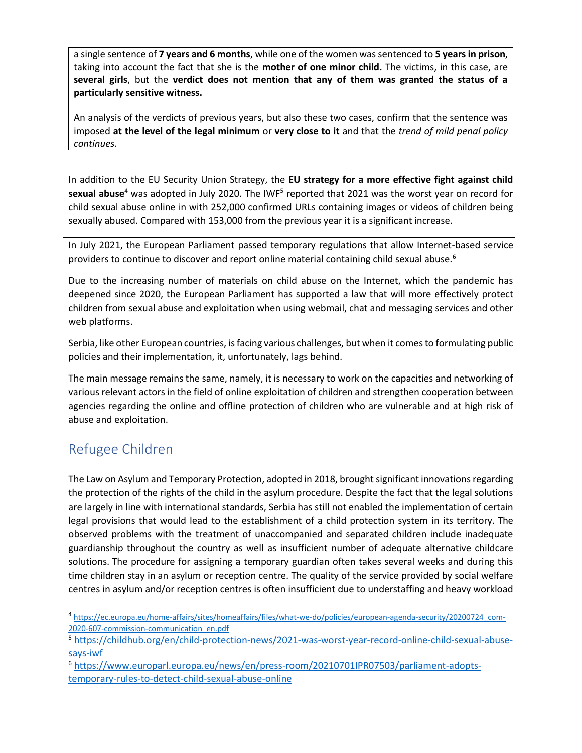a single sentence of **7 years and 6 months**, while one of the women was sentenced to **5 years in prison**, taking into account the fact that she is the **mother of one minor child.** The victims, in this case, are **several girls**, but the **verdict does not mention that any of them was granted the status of a particularly sensitive witness.**

An analysis of the verdicts of previous years, but also these two cases, confirm that the sentence was imposed **at the level of the legal minimum** or **very close to it** and that the *trend of mild penal policy continues.*

In addition to the EU Security Union Strategy, the **EU strategy for a more effective fight against child sexual abuse**<sup>4</sup> was adopted in July 2020. The IWF<sup>5</sup> reported that 2021 was the worst year on record for child sexual abuse online in with 252,000 confirmed URLs containing images or videos of children being sexually abused. Compared with 153,000 from the previous year it is a significant increase.

In July 2021, the European Parliament passed temporary regulations that allow Internet-based service providers to continue to discover and report online material containing child sexual abuse.<sup>6</sup>

Due to the increasing number of materials on child abuse on the Internet, which the pandemic has deepened since 2020, the European Parliament has supported a law that will more effectively protect children from sexual abuse and exploitation when using webmail, chat and messaging services and other web platforms.

Serbia, like other European countries, is facing various challenges, but when it comes to formulating public policies and their implementation, it, unfortunately, lags behind.

The main message remains the same, namely, it is necessary to work on the capacities and networking of various relevant actors in the field of online exploitation of children and strengthen cooperation between agencies regarding the online and offline protection of children who are vulnerable and at high risk of abuse and exploitation.

### Refugee Children

The Law on Asylum and Temporary Protection, adopted in 2018, brought significant innovations regarding the protection of the rights of the child in the asylum procedure. Despite the fact that the legal solutions are largely in line with international standards, Serbia has still not enabled the implementation of certain legal provisions that would lead to the establishment of a child protection system in its territory. The observed problems with the treatment of unaccompanied and separated children include inadequate guardianship throughout the country as well as insufficient number of adequate alternative childcare solutions. The procedure for assigning a temporary guardian often takes several weeks and during this time children stay in an asylum or reception centre. The quality of the service provided by social welfare centres in asylum and/or reception centres is often insufficient due to understaffing and heavy workload

<sup>4</sup> [https://ec.europa.eu/home-affairs/sites/homeaffairs/files/what-we-do/policies/european-agenda-security/20200724\\_com-](https://ec.europa.eu/home-affairs/sites/homeaffairs/files/what-we-do/policies/european-agenda-security/20200724_com-2020-607-commission-communication_en.pdf)[2020-607-commission-communication\\_en.pdf](https://ec.europa.eu/home-affairs/sites/homeaffairs/files/what-we-do/policies/european-agenda-security/20200724_com-2020-607-commission-communication_en.pdf)

<sup>5</sup> [https://childhub.org/en/child-protection-news/2021-was-worst-year-record-online-child-sexual-abuse](https://childhub.org/en/child-protection-news/2021-was-worst-year-record-online-child-sexual-abuse-says-iwf)[says-iwf](https://childhub.org/en/child-protection-news/2021-was-worst-year-record-online-child-sexual-abuse-says-iwf)

<sup>6</sup> [https://www.europarl.europa.eu/news/en/press-room/20210701IPR07503/parliament-adopts](https://www.europarl.europa.eu/news/en/press-room/20210701IPR07503/parliament-adopts-temporary-rules-to-detect-child-sexual-abuse-online)[temporary-rules-to-detect-child-sexual-abuse-online](https://www.europarl.europa.eu/news/en/press-room/20210701IPR07503/parliament-adopts-temporary-rules-to-detect-child-sexual-abuse-online)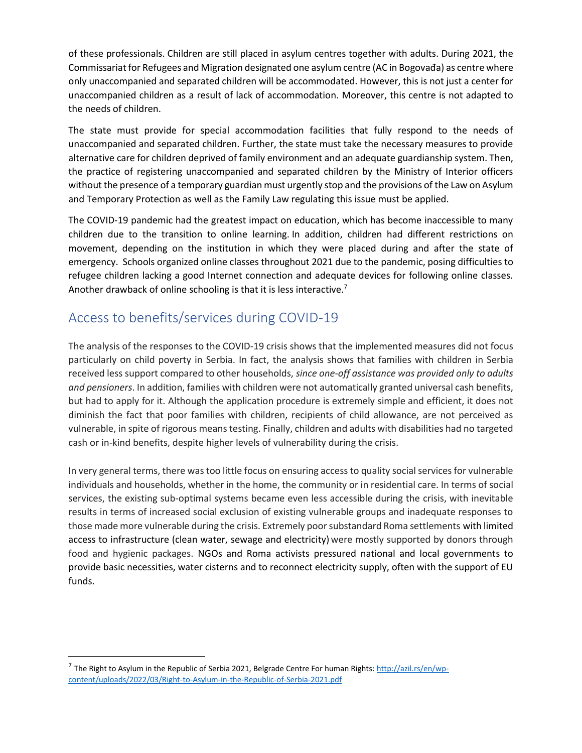of these professionals. Children are still placed in asylum centres together with adults. During 2021, the Commissariat for Refugees and Migration designated one asylum centre (AC in Bogovađa) as centre where only unaccompanied and separated children will be accommodated. However, this is not just a center for unaccompanied children as a result of lack of accommodation. Moreover, this centre is not adapted to the needs of children.

The state must provide for special accommodation facilities that fully respond to the needs of unaccompanied and separated children. Further, the state must take the necessary measures to provide alternative care for children deprived of family environment and an adequate guardianship system. Then, the practice of registering unaccompanied and separated children by the Ministry of Interior officers without the presence of a temporary guardian must urgently stop and the provisions of the Law on Asylum and Temporary Protection as well as the Family Law regulating this issue must be applied.

The COVID-19 pandemic had the greatest impact on education, which has become inaccessible to many children due to the transition to online learning. In addition, children had different restrictions on movement, depending on the institution in which they were placed during and after the state of emergency. Schools organized online classes throughout 2021 due to the pandemic, posing difficulties to refugee children lacking a good Internet connection and adequate devices for following online classes. Another drawback of online schooling is that it is less interactive.<sup>7</sup>

### Access to benefits/services during COVID-19

The analysis of the responses to the COVID-19 crisis shows that the implemented measures did not focus particularly on child poverty in Serbia. In fact, the analysis shows that families with children in Serbia received less support compared to other households, *since one-off assistance was provided only to adults and pensioners*. In addition, families with children were not automatically granted universal cash benefits, but had to apply for it. Although the application procedure is extremely simple and efficient, it does not diminish the fact that poor families with children, recipients of child allowance, are not perceived as vulnerable, in spite of rigorous means testing. Finally, children and adults with disabilities had no targeted cash or in-kind benefits, despite higher levels of vulnerability during the crisis.

In very general terms, there was too little focus on ensuring access to quality social services for vulnerable individuals and households, whether in the home, the community or in residential care. In terms of social services, the existing sub-optimal systems became even less accessible during the crisis, with inevitable results in terms of increased social exclusion of existing vulnerable groups and inadequate responses to those made more vulnerable during the crisis. Extremely poor substandard Roma settlements with limited access to infrastructure (clean water, sewage and electricity) were mostly supported by donors through food and hygienic packages. NGOs and Roma activists pressured national and local governments to provide basic necessities, water cisterns and to reconnect electricity supply, often with the support of EU funds.

<sup>&</sup>lt;sup>7</sup> The Right to Asylum in the Republic of Serbia 2021, Belgrade Centre For human Rights: <u>http://azil.rs/en/wp-</u> [content/uploads/2022/03/Right-to-Asylum-in-the-Republic-of-Serbia-2021.pdf](http://azil.rs/en/wp-content/uploads/2022/03/Right-to-Asylum-in-the-Republic-of-Serbia-2021.pdf)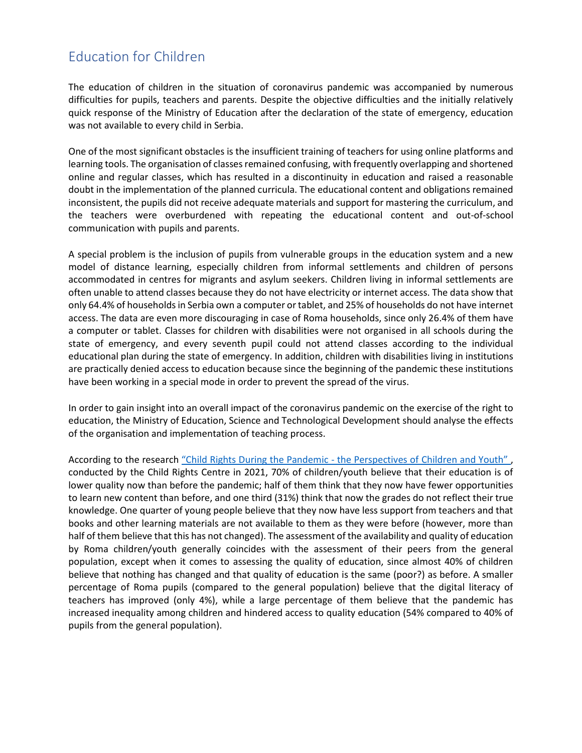### Education for Children

The education of children in the situation of coronavirus pandemic was accompanied by numerous difficulties for pupils, teachers and parents. Despite the objective difficulties and the initially relatively quick response of the Ministry of Education after the declaration of the state of emergency, education was not available to every child in Serbia.

One of the most significant obstacles is the insufficient training of teachers for using online platforms and learning tools. The organisation of classes remained confusing, with frequently overlapping and shortened online and regular classes, which has resulted in a discontinuity in education and raised a reasonable doubt in the implementation of the planned curricula. The educational content and obligations remained inconsistent, the pupils did not receive adequate materials and support for mastering the curriculum, and the teachers were overburdened with repeating the educational content and out-of-school communication with pupils and parents.

A special problem is the inclusion of pupils from vulnerable groups in the education system and a new model of distance learning, especially children from informal settlements and children of persons accommodated in centres for migrants and asylum seekers. Children living in informal settlements are often unable to attend classes because they do not have electricity or internet access. The data show that only 64.4% of households in Serbia own a computer or tablet, and 25% of households do not have internet access. The data are even more discouraging in case of Roma households, since only 26.4% of them have a computer or tablet. Classes for children with disabilities were not organised in all schools during the state of emergency, and every seventh pupil could not attend classes according to the individual educational plan during the state of emergency. In addition, children with disabilities living in institutions are practically denied access to education because since the beginning of the pandemic these institutions have been working in a special mode in order to prevent the spread of the virus.

In order to gain insight into an overall impact of the coronavirus pandemic on the exercise of the right to education, the Ministry of Education, Science and Technological Development should analyse the effects of the organisation and implementation of teaching process.

According to the research "Child Rights During the Pandemic - the Perspectives of Children and Youth", conducted by the Child Rights Centre in 2021, 70% of children/youth believe that their education is of lower quality now than before the pandemic; half of them think that they now have fewer opportunities to learn new content than before, and one third (31%) think that now the grades do not reflect their true knowledge. One quarter of young people believe that they now have less support from teachers and that books and other learning materials are not available to them as they were before (however, more than half of them believe that this has not changed). The assessment of the availability and quality of education by Roma children/youth generally coincides with the assessment of their peers from the general population, except when it comes to assessing the quality of education, since almost 40% of children believe that nothing has changed and that quality of education is the same (poor?) as before. A smaller percentage of Roma pupils (compared to the general population) believe that the digital literacy of teachers has improved (only 4%), while a large percentage of them believe that the pandemic has increased inequality among children and hindered access to quality education (54% compared to 40% of pupils from the general population).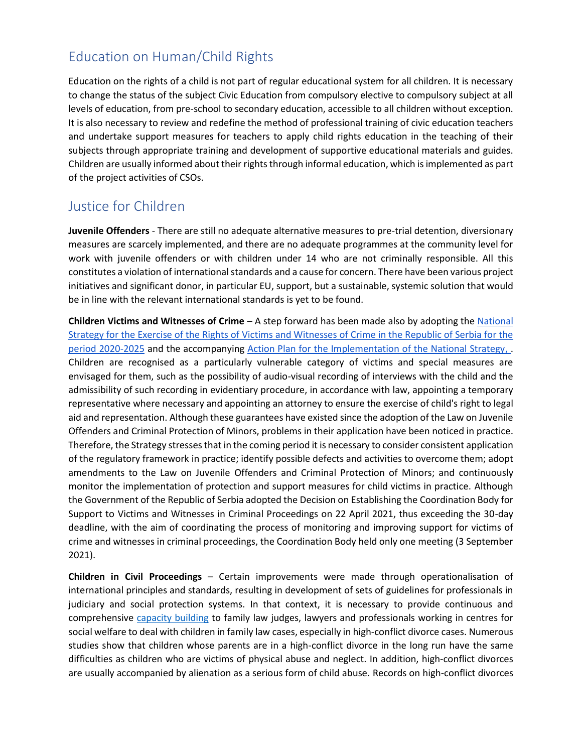### Education on Human/Child Rights

Education on the rights of a child is not part of regular educational system for all children. It is necessary to change the status of the subject Civic Education from compulsory elective to compulsory subject at all levels of education, from pre-school to secondary education, accessible to all children without exception. It is also necessary to review and redefine the method of professional training of civic education teachers and undertake support measures for teachers to apply child rights education in the teaching of their subjects through appropriate training and development of supportive educational materials and guides. Children are usually informed about their rights through informal education, which is implemented as part of the project activities of CSOs.

### Justice for Children

**Juvenile Offenders** - There are still no adequate alternative measures to pre-trial detention, diversionary measures are scarcely implemented, and there are no adequate programmes at the community level for work with juvenile offenders or with children under 14 who are not criminally responsible. All this constitutes a violation of international standards and a cause for concern. There have been various project initiatives and significant donor, in particular EU, support, but a sustainable, systemic solution that would be in line with the relevant international standards is yet to be found.

**Children Victims and Witnesses of Crime** – A step forward has been made also by adopting th[e](https://www.mpravde.gov.rs/sr/tekst/30567/nacionalna-strategija-za-ostvarivanje-prava-zrtava-i-svedoka-krivicnih-dela-u-republici-srbiji-za-period-2020-2025-godine-19082020.php) [National](https://www.mpravde.gov.rs/sr/tekst/30567/nacionalna-strategija-za-ostvarivanje-prava-zrtava-i-svedoka-krivicnih-dela-u-republici-srbiji-za-period-2020-2025-godine-19082020.php)  [Strategy for the Exercise of the Rights of Victims and Witnesses of Crime in the Republic of Serbia for the](https://www.mpravde.gov.rs/sr/tekst/30567/nacionalna-strategija-za-ostvarivanje-prava-zrtava-i-svedoka-krivicnih-dela-u-republici-srbiji-za-period-2020-2025-godine-19082020.php)  [period 2020-2025](https://www.mpravde.gov.rs/sr/tekst/30567/nacionalna-strategija-za-ostvarivanje-prava-zrtava-i-svedoka-krivicnih-dela-u-republici-srbiji-za-period-2020-2025-godine-19082020.php) and the accompanying [Action Plan for the Implementation of the National Strategy,](https://www.mpravde.gov.rs/sr/tekst/30567/nacionalna-strategija-za-ostvarivanje-prava-zrtava-i-svedoka-krivicnih-dela-u-republici-srbiji-za-period-2020-2025-godine-19082020.php) . Children are recognised as a particularly vulnerable category of victims and special measures are envisaged for them, such as the possibility of audio-visual recording of interviews with the child and the admissibility of such recording in evidentiary procedure, in accordance with law, appointing a temporary representative where necessary and appointing an attorney to ensure the exercise of child's right to legal aid and representation. Although these guarantees have existed since the adoption of the Law on Juvenile Offenders and Criminal Protection of Minors, problems in their application have been noticed in practice. Therefore, the Strategy stressesthat in the coming period it is necessary to consider consistent application of the regulatory framework in practice; identify possible defects and activities to overcome them; adopt amendments to the Law on Juvenile Offenders and Criminal Protection of Minors; and continuously monitor the implementation of protection and support measures for child victims in practice. Although the Government of the Republic of Serbia adopted the Decision on Establishing the Coordination Body for Support to Victims and Witnesses in Criminal Proceedings on 22 April 2021, thus exceeding the 30-day deadline, with the aim of coordinating the process of monitoring and improving support for victims of crime and witnesses in criminal proceedings, the Coordination Body held only one meeting (3 September 2021).

**Children in Civil Proceedings** – Certain improvements were made through operationalisation of international principles and standards, resulting in development of sets of guidelines for professionals in judiciary and social protection systems. In that context, it is necessary to provide continuous and comprehensive [capacity building](https://cpd.org.rs/odrzana-obuka-razvod-roditelja-i-zastita-dece-za-strucne-radnike-u-pravosudju-i-socijalnoj-zastiti/) to family law judges, lawyers and professionals working in centres for social welfare to deal with children in family law cases, especially in high-conflict divorce cases. Numerous studies show that children whose parents are in a high-conflict divorce in the long run have the same difficulties as children who are victims of physical abuse and neglect. In addition, high-conflict divorces are usually accompanied by alienation as a serious form of child abuse. Records on high-conflict divorces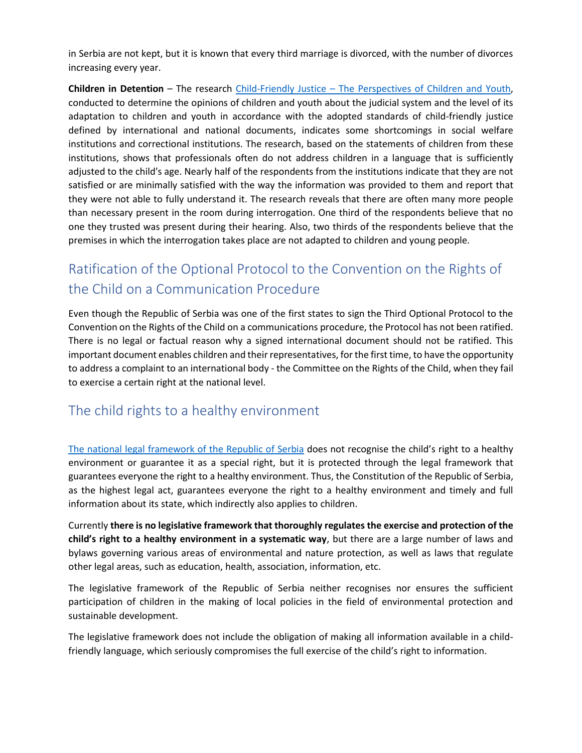in Serbia are not kept, but it is known that every third marriage is divorced, with the number of divorces increasing every year.

**Children in Detention** – The research Child-Friendly Justice – [The Perspectives of Children and Youth,](https://cpd.org.rs/cpd-objavio-istrazivanje-pravosudje-po-meri-dece-i-mladih/) conducted to determine the opinions of children and youth about the judicial system and the level of its adaptation to children and youth in accordance with the adopted standards of child-friendly justice defined by international and national documents, indicates some shortcomings in social welfare institutions and correctional institutions. The research, based on the statements of children from these institutions, shows that professionals often do not address children in a language that is sufficiently adjusted to the child's age. Nearly half of the respondents from the institutions indicate that they are not satisfied or are minimally satisfied with the way the information was provided to them and report that they were not able to fully understand it. The research reveals that there are often many more people than necessary present in the room during interrogation. One third of the respondents believe that no one they trusted was present during their hearing. Also, two thirds of the respondents believe that the premises in which the interrogation takes place are not adapted to children and young people.

## Ratification of the Optional Protocol to the Convention on the Rights of the Child on a Communication Procedure

Even though the Republic of Serbia was one of the first states to sign the Third Optional Protocol to the Convention on the Rights of the Child on a communications procedure, the Protocol has not been ratified. There is no legal or factual reason why a signed international document should not be ratified. This important document enables children and their representatives, for the first time, to have the opportunity to address a complaint to an international body - the Committee on the Rights of the Child, when they fail to exercise a certain right at the national level.

### The child rights to a healthy environment

[The national legal framework of the Republic of Serbia](https://cpd.org.rs/wp-content/uploads/2022/01/Summary-of-the-Analysis-of-the-RS-Legislation-from-the-Perspective-of-Childs-Right-to-a-Healthy-Environment-3.pdf) does not recognise the child's right to a healthy environment or guarantee it as a special right, but it is protected through the legal framework that guarantees everyone the right to a healthy environment. Thus, the Constitution of the Republic of Serbia, as the highest legal act, guarantees everyone the right to a healthy environment and timely and full information about its state, which indirectly also applies to children.

Currently **there is no legislative framework that thoroughly regulates the exercise and protection of the child's right to a healthy environment in a systematic way**, but there are a large number of laws and bylaws governing various areas of environmental and nature protection, as well as laws that regulate other legal areas, such as education, health, association, information, etc.

The legislative framework of the Republic of Serbia neither recognises nor ensures the sufficient participation of children in the making of local policies in the field of environmental protection and sustainable development.

The legislative framework does not include the obligation of making all information available in a childfriendly language, which seriously compromises the full exercise of the child's right to information.